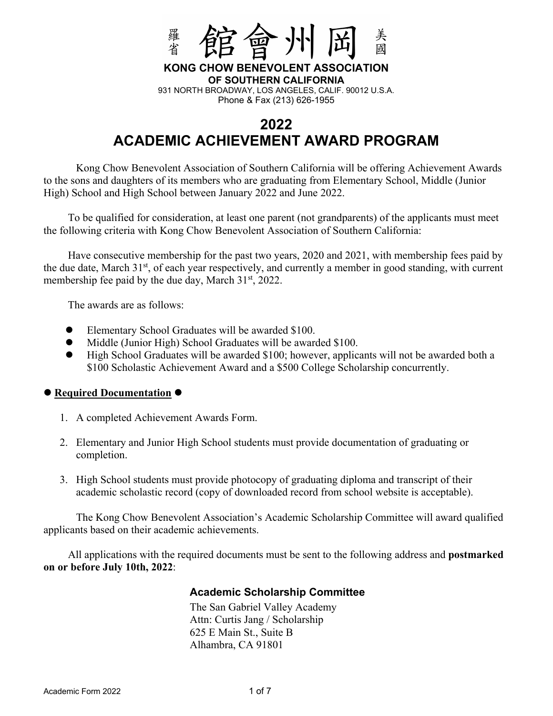

**KONG CHOW BENEVOLENT ASSOCIATION OF SOUTHERN CALIFORNIA** 

931 NORTH BROADWAY, LOS ANGELES, CALIF. 90012 U.S.A. Phone & Fax (213) 626-1955

## **2022 ACADEMIC ACHIEVEMENT AWARD PROGRAM**

 Kong Chow Benevolent Association of Southern California will be offering Achievement Awards to the sons and daughters of its members who are graduating from Elementary School, Middle (Junior High) School and High School between January 2022 and June 2022.

To be qualified for consideration, at least one parent (not grandparents) of the applicants must meet the following criteria with Kong Chow Benevolent Association of Southern California:

Have consecutive membership for the past two years, 2020 and 2021, with membership fees paid by the due date, March 31<sup>st</sup>, of each year respectively, and currently a member in good standing, with current membership fee paid by the due day, March 31<sup>st</sup>, 2022.

The awards are as follows:

- Elementary School Graduates will be awarded \$100.
- $\bullet$  Middle (Junior High) School Graduates will be awarded \$100.
- High School Graduates will be awarded \$100; however, applicants will not be awarded both a \$100 Scholastic Achievement Award and a \$500 College Scholarship concurrently.

#### **Required Documentation**

- 1. A completed Achievement Awards Form.
- 2. Elementary and Junior High School students must provide documentation of graduating or completion.
- 3. High School students must provide photocopy of graduating diploma and transcript of their academic scholastic record (copy of downloaded record from school website is acceptable).

 The Kong Chow Benevolent Association's Academic Scholarship Committee will award qualified applicants based on their academic achievements.

All applications with the required documents must be sent to the following address and **postmarked on or before July 10th, 2022**:

#### **Academic Scholarship Committee**

The San Gabriel Valley Academy Attn: Curtis Jang / Scholarship 625 E Main St., Suite B Alhambra, CA 91801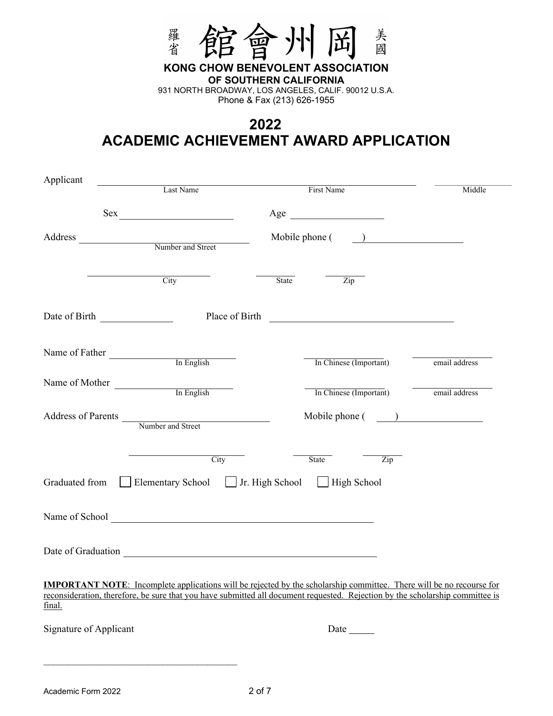

**KONG CHOW BENEVOLENT ASSOCIATION OF SOUTHERN CALIFORNIA**  931 NORTH BROADWAY, LOS ANGELES, CALIF. 90012 U.S.A.

Phone & Fax (213) 626-1955

## **2022 ACADEMIC ACHIEVEMENT AWARD APPLICATION**

| Applicant              |                                                                                            |                                                                                                                                                                                                                                                              |               |
|------------------------|--------------------------------------------------------------------------------------------|--------------------------------------------------------------------------------------------------------------------------------------------------------------------------------------------------------------------------------------------------------------|---------------|
|                        | Last Name                                                                                  | First Name                                                                                                                                                                                                                                                   | Middle        |
|                        | Sex                                                                                        | Age                                                                                                                                                                                                                                                          |               |
|                        | Address Number and Street                                                                  | Mobile phone (<br>) and the set of $\overline{\phantom{a}}$                                                                                                                                                                                                  |               |
|                        | City                                                                                       | State<br>Zip                                                                                                                                                                                                                                                 |               |
|                        |                                                                                            |                                                                                                                                                                                                                                                              |               |
| Name of Father         | In English                                                                                 | In Chinese (Important)                                                                                                                                                                                                                                       | email address |
|                        | Name of Mother In English                                                                  | In Chinese (Important)                                                                                                                                                                                                                                       | email address |
|                        | Address of Parents Number and Street                                                       |                                                                                                                                                                                                                                                              |               |
|                        | City                                                                                       | State<br>$\overline{\mathrm{Zip}}$                                                                                                                                                                                                                           |               |
| Graduated from         | Elementary School   Jr. High School   High School                                          |                                                                                                                                                                                                                                                              |               |
|                        | Name of School Contains and the Containing of School Contains and the Containing of School |                                                                                                                                                                                                                                                              |               |
|                        |                                                                                            |                                                                                                                                                                                                                                                              |               |
| final.                 |                                                                                            | <b>IMPORTANT NOTE:</b> Incomplete applications will be rejected by the scholarship committee. There will be no recourse for<br>reconsideration, therefore, be sure that you have submitted all document requested. Rejection by the scholarship committee is |               |
| Signature of Applicant |                                                                                            |                                                                                                                                                                                                                                                              |               |
|                        |                                                                                            |                                                                                                                                                                                                                                                              |               |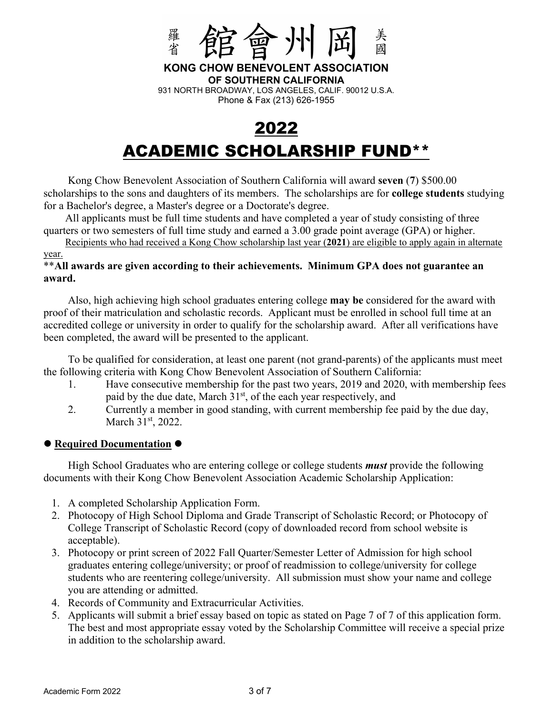

**KONG CHOW BENEVOLENT ASSOCIATION OF SOUTHERN CALIFORNIA**  931 NORTH BROADWAY, LOS ANGELES, CALIF. 90012 U.S.A. Phone & Fax (213) 626-1955

# 2022 ACADEMIC SCHOLARSHIP FUND\*\*

Kong Chow Benevolent Association of Southern California will award **seven** (**7**) \$500.00 scholarships to the sons and daughters of its members. The scholarships are for **college students** studying for a Bachelor's degree, a Master's degree or a Doctorate's degree.

All applicants must be full time students and have completed a year of study consisting of three quarters or two semesters of full time study and earned a 3.00 grade point average (GPA) or higher.

Recipients who had received a Kong Chow scholarship last year (**2021**) are eligible to apply again in alternate year.

#### \*\***All awards are given according to their achievements. Minimum GPA does not guarantee an award.**

Also, high achieving high school graduates entering college **may be** considered for the award with proof of their matriculation and scholastic records. Applicant must be enrolled in school full time at an accredited college or university in order to qualify for the scholarship award. After all verifications have been completed, the award will be presented to the applicant.

To be qualified for consideration, at least one parent (not grand-parents) of the applicants must meet the following criteria with Kong Chow Benevolent Association of Southern California:

- 1. Have consecutive membership for the past two years, 2019 and 2020, with membership fees paid by the due date, March  $31<sup>st</sup>$ , of the each year respectively, and
- 2. Currently a member in good standing, with current membership fee paid by the due day, March 31<sup>st</sup>, 2022.

#### **Required Documentation**

High School Graduates who are entering college or college students *must* provide the following documents with their Kong Chow Benevolent Association Academic Scholarship Application:

- 1. A completed Scholarship Application Form.
- 2. Photocopy of High School Diploma and Grade Transcript of Scholastic Record; or Photocopy of College Transcript of Scholastic Record (copy of downloaded record from school website is acceptable).
- 3. Photocopy or print screen of 2022 Fall Quarter/Semester Letter of Admission for high school graduates entering college/university; or proof of readmission to college/university for college students who are reentering college/university. All submission must show your name and college you are attending or admitted.
- 4. Records of Community and Extracurricular Activities.
- 5. Applicants will submit a brief essay based on topic as stated on Page 7 of 7 of this application form. The best and most appropriate essay voted by the Scholarship Committee will receive a special prize in addition to the scholarship award.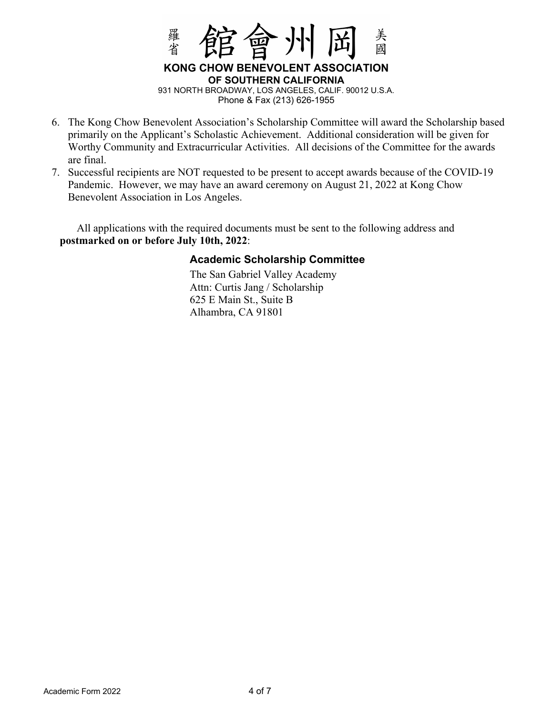

- 6. The Kong Chow Benevolent Association's Scholarship Committee will award the Scholarship based primarily on the Applicant's Scholastic Achievement. Additional consideration will be given for Worthy Community and Extracurricular Activities. All decisions of the Committee for the awards are final.
- 7. Successful recipients are NOT requested to be present to accept awards because of the COVID-19 Pandemic. However, we may have an award ceremony on August 21, 2022 at Kong Chow Benevolent Association in Los Angeles.

All applications with the required documents must be sent to the following address and **postmarked on or before July 10th, 2022**:

### **Academic Scholarship Committee**

The San Gabriel Valley Academy Attn: Curtis Jang / Scholarship 625 E Main St., Suite B Alhambra, CA 91801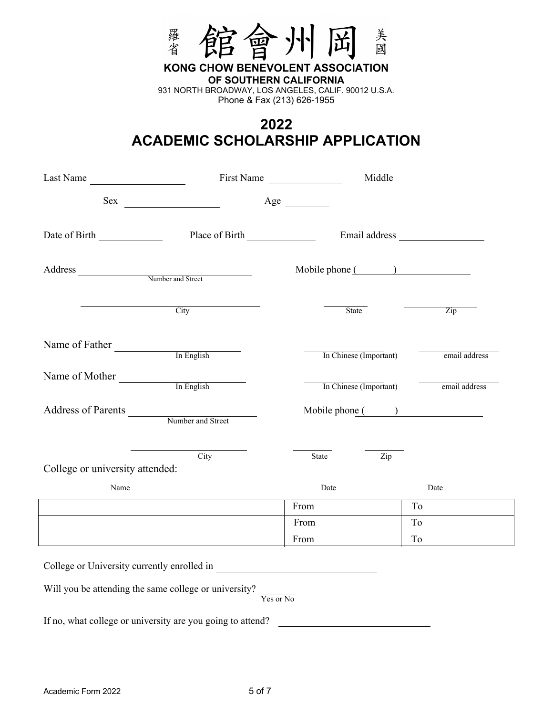

**KONG CHOW BENEVOLENT ASSOCIATION OF SOUTHERN CALIFORNIA**  931 NORTH BROADWAY, LOS ANGELES, CALIF. 90012 U.S.A.

Phone & Fax (213) 626-1955

## **2022 ACADEMIC SCHOLARSHIP APPLICATION**

| Last Name                                                                                                            |                                             | First Name       | Middle                                                                                                                                                                                                                         |      |               |
|----------------------------------------------------------------------------------------------------------------------|---------------------------------------------|------------------|--------------------------------------------------------------------------------------------------------------------------------------------------------------------------------------------------------------------------------|------|---------------|
| Sex                                                                                                                  |                                             |                  |                                                                                                                                                                                                                                |      |               |
| Date of Birth                                                                                                        | Place of Birth                              |                  | Email address and the state of the state of the state of the state of the state of the state of the state of the state of the state of the state of the state of the state of the state of the state of the state of the state |      |               |
| Address Number and Street                                                                                            |                                             | Mobile phone ( ) |                                                                                                                                                                                                                                |      |               |
| <u> 1989 - Jan Stein Stein Stein Stein Stein Stein Stein Stein Stein Stein Stein Stein Stein Stein Stein Stein S</u> | <b>City</b>                                 |                  | State                                                                                                                                                                                                                          |      | Zip           |
| Name of Father                                                                                                       | In English                                  |                  | In Chinese (Important)                                                                                                                                                                                                         |      | email address |
| Name of Mother                                                                                                       | In English                                  |                  | In Chinese (Important)                                                                                                                                                                                                         |      | email address |
| Address of Parents<br>Number and Street                                                                              |                                             | Mobile phone ( ) |                                                                                                                                                                                                                                |      |               |
| College or university attended:                                                                                      | City                                        | State            | Zip                                                                                                                                                                                                                            |      |               |
| Name                                                                                                                 |                                             | Date             |                                                                                                                                                                                                                                | Date |               |
|                                                                                                                      |                                             | From             |                                                                                                                                                                                                                                | To   |               |
|                                                                                                                      |                                             | From             |                                                                                                                                                                                                                                | To   |               |
|                                                                                                                      |                                             | From             |                                                                                                                                                                                                                                | To   |               |
|                                                                                                                      | College or University currently enrolled in |                  |                                                                                                                                                                                                                                |      |               |
| Will you be attending the same college or university?                                                                |                                             | Yes or No        |                                                                                                                                                                                                                                |      |               |

If no, what college or university are you going to attend?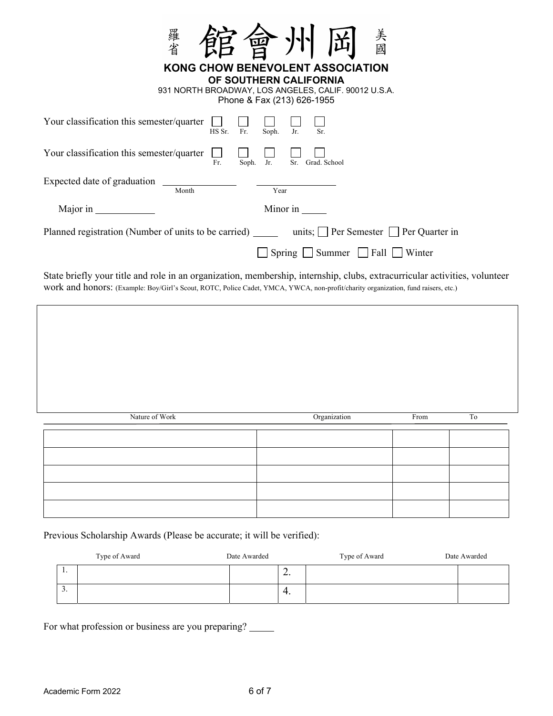| 羅省<br>美國<br>四                                                                                                                                    |
|--------------------------------------------------------------------------------------------------------------------------------------------------|
| KONG CHOW BENEVOLENT ASSOCIATION<br>OF SOUTHERN CALIFORNIA<br>931 NORTH BROADWAY, LOS ANGELES, CALIF. 90012 U.S.A.<br>Phone & Fax (213) 626-1955 |
| Your classification this semester/quarter<br>Fr.<br>Soph.<br>Jr.<br>HS Sr.                                                                       |
| Your classification this semester/quarter<br>Jr.<br>Sr. Grad. School<br>Soph.<br>Fr.                                                             |
| Expected date of graduation<br>Year<br>Month                                                                                                     |
| Major in<br>Minor in                                                                                                                             |
| Planned registration (Number of units to be carried) ______ units; $\Box$ Per Semester $\Box$ Per Quarter in                                     |
| $Spring \tSymmer \tAall \tWinter$                                                                                                                |
| State briefly your title and role in an organization, membership, internship, clubs, extracurricular activities, volunteer                       |

work and honors: (Example: Boy/Girl's Scout, ROTC, Police Cadet, YMCA, YWCA, non-profit/charity organization, fund raisers, etc.)

| Nature of Work | Organization | From | To |
|----------------|--------------|------|----|
|                |              |      |    |
|                |              |      |    |
|                |              |      |    |
|                |              |      |    |
|                |              |      |    |
|                |              |      |    |

Previous Scholarship Awards (Please be accurate; it will be verified):

|     | Type of Award | Date Awarded |           | Type of Award | Date Awarded |
|-----|---------------|--------------|-----------|---------------|--------------|
| . . |               |              | <u>L.</u> |               |              |
| . ب |               |              | 4.        |               |              |

For what profession or business are you preparing?